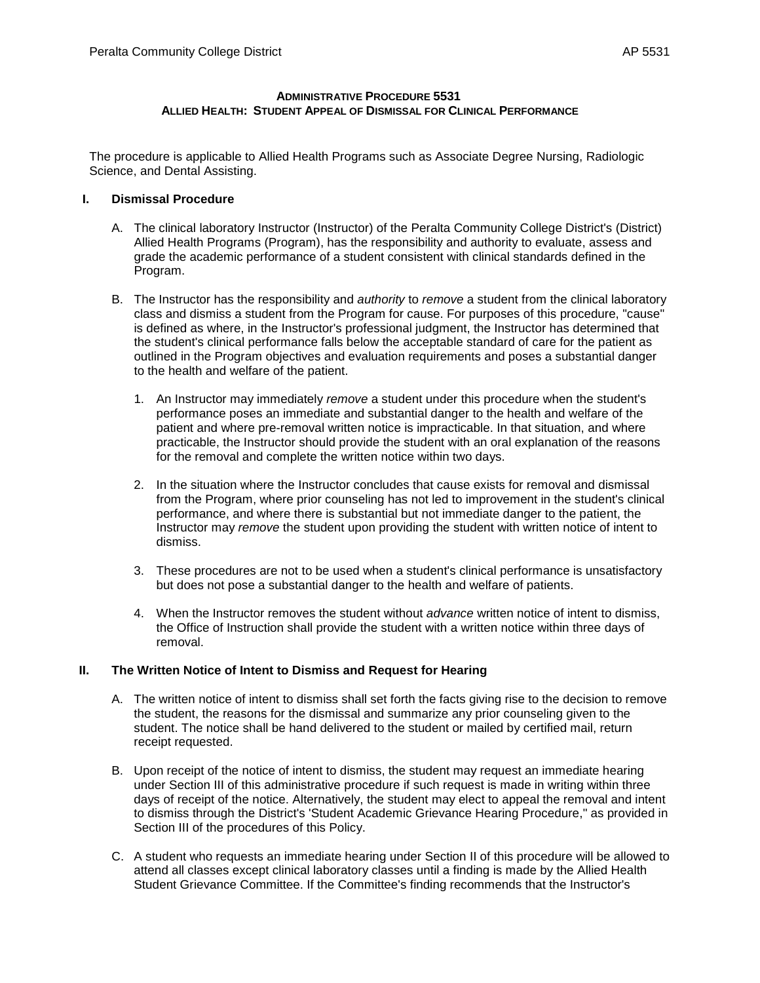## **ADMINISTRATIVE PROCEDURE 5531 ALLIED HEALTH: STUDENT APPEAL OF DISMISSAL FOR CLINICAL PERFORMANCE**

The procedure is applicable to Allied Health Programs such as Associate Degree Nursing, Radiologic Science, and Dental Assisting.

## **I. Dismissal Procedure**

- A. The clinical laboratory Instructor (Instructor) of the Peralta Community College District's (District) Allied Health Programs (Program), has the responsibility and authority to evaluate, assess and grade the academic performance of a student consistent with clinical standards defined in the Program.
- B. The Instructor has the responsibility and *authority* to *remove* a student from the clinical laboratory class and dismiss a student from the Program for cause. For purposes of this procedure, "cause" is defined as where, in the Instructor's professional judgment, the Instructor has determined that the student's clinical performance falls below the acceptable standard of care for the patient as outlined in the Program objectives and evaluation requirements and poses a substantial danger to the health and welfare of the patient.
	- 1. An Instructor may immediately *remove* a student under this procedure when the student's performance poses an immediate and substantial danger to the health and welfare of the patient and where pre-removal written notice is impracticable. In that situation, and where practicable, the Instructor should provide the student with an oral explanation of the reasons for the removal and complete the written notice within two days.
	- 2. In the situation where the Instructor concludes that cause exists for removal and dismissal from the Program, where prior counseling has not led to improvement in the student's clinical performance, and where there is substantial but not immediate danger to the patient, the Instructor may *remove* the student upon providing the student with written notice of intent to dismiss.
	- 3. These procedures are not to be used when a student's clinical performance is unsatisfactory but does not pose a substantial danger to the health and welfare of patients.
	- 4. When the Instructor removes the student without *advance* written notice of intent to dismiss, the Office of Instruction shall provide the student with a written notice within three days of removal.

## **II. The Written Notice of Intent to Dismiss and Request for Hearing**

- A. The written notice of intent to dismiss shall set forth the facts giving rise to the decision to remove the student, the reasons for the dismissal and summarize any prior counseling given to the student. The notice shall be hand delivered to the student or mailed by certified mail, return receipt requested.
- B. Upon receipt of the notice of intent to dismiss, the student may request an immediate hearing under Section III of this administrative procedure if such request is made in writing within three days of receipt of the notice. Alternatively, the student may elect to appeal the removal and intent to dismiss through the District's 'Student Academic Grievance Hearing Procedure," as provided in Section III of the procedures of this Policy.
- C. A student who requests an immediate hearing under Section II of this procedure will be allowed to attend all classes except clinical laboratory classes until a finding is made by the Allied Health Student Grievance Committee. If the Committee's finding recommends that the Instructor's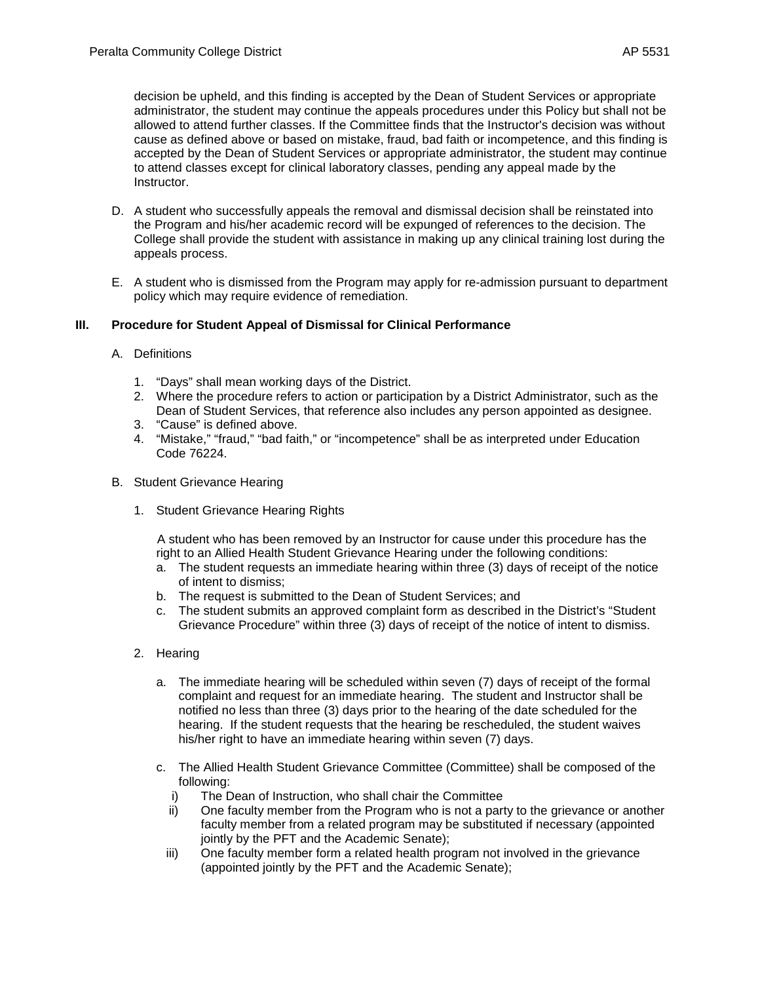decision be upheld, and this finding is accepted by the Dean of Student Services or appropriate administrator, the student may continue the appeals procedures under this Policy but shall not be allowed to attend further classes. If the Committee finds that the Instructor's decision was without cause as defined above or based on mistake, fraud, bad faith or incompetence, and this finding is accepted by the Dean of Student Services or appropriate administrator, the student may continue to attend classes except for clinical laboratory classes, pending any appeal made by the Instructor.

- D. A student who successfully appeals the removal and dismissal decision shall be reinstated into the Program and his/her academic record will be expunged of references to the decision. The College shall provide the student with assistance in making up any clinical training lost during the appeals process.
- E. A student who is dismissed from the Program may apply for re-admission pursuant to department policy which may require evidence of remediation.

# **III. Procedure for Student Appeal of Dismissal for Clinical Performance**

- A. Definitions
	- 1. "Days" shall mean working days of the District.
	- 2. Where the procedure refers to action or participation by a District Administrator, such as the Dean of Student Services, that reference also includes any person appointed as designee.
	- 3. "Cause" is defined above.
	- 4. "Mistake," "fraud," "bad faith," or "incompetence" shall be as interpreted under Education Code 76224.
- B. Student Grievance Hearing
	- 1. Student Grievance Hearing Rights

A student who has been removed by an Instructor for cause under this procedure has the right to an Allied Health Student Grievance Hearing under the following conditions:

- a. The student requests an immediate hearing within three (3) days of receipt of the notice of intent to dismiss;
- b. The request is submitted to the Dean of Student Services; and
- c. The student submits an approved complaint form as described in the District's "Student Grievance Procedure" within three (3) days of receipt of the notice of intent to dismiss.
- 2. Hearing
	- a. The immediate hearing will be scheduled within seven (7) days of receipt of the formal complaint and request for an immediate hearing. The student and Instructor shall be notified no less than three (3) days prior to the hearing of the date scheduled for the hearing. If the student requests that the hearing be rescheduled, the student waives his/her right to have an immediate hearing within seven (7) days.
	- c. The Allied Health Student Grievance Committee (Committee) shall be composed of the following:
		- i) The Dean of Instruction, who shall chair the Committee
		- ii) One faculty member from the Program who is not a party to the grievance or another faculty member from a related program may be substituted if necessary (appointed jointly by the PFT and the Academic Senate);
		- iii) One faculty member form a related health program not involved in the grievance (appointed jointly by the PFT and the Academic Senate);